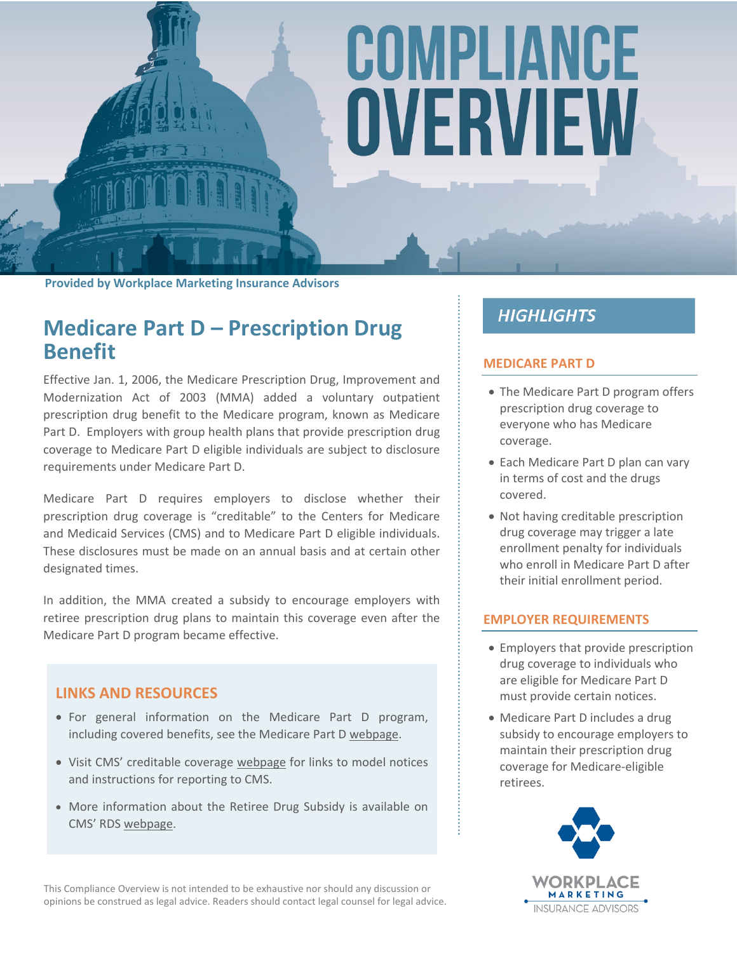# COMPLIANCE OVERVIEW

**Provided by Workplace Marketing Insurance Advisors**

## **Medicare Part D – Prescription Drug Benefit**

Effective Jan. 1, 2006, the Medicare Prescription Drug, Improvement and Modernization Act of 2003 (MMA) added a voluntary outpatient prescription drug benefit to the Medicare program, known as Medicare Part D. Employers with group health plans that provide prescription drug coverage to Medicare Part D eligible individuals are subject to disclosure requirements under Medicare Part D.

Medicare Part D requires employers to disclose whether their prescription drug coverage is "creditable" to the Centers for Medicare and Medicaid Services (CMS) and to Medicare Part D eligible individuals. These disclosures must be made on an annual basis and at certain other designated times.

In addition, the MMA created a subsidy to encourage employers with retiree prescription drug plans to maintain this coverage even after the Medicare Part D program became effective.

#### **LINKS AND RESOURCES**

- For general information on the Medicare Part D program, including covered benefits, see the Medicare Part D [webpage](https://www.medicare.gov/part-d/index.html).
- Visit CMS' creditable coverage [webpage](https://www.cms.gov/Medicare/Prescription-Drug-Coverage/CreditableCoverage/index.html) for links to model notices and instructions for reporting to CMS.
- More information about the Retiree Drug Subsidy is available on CMS' RDS [webpage.](https://www.rds.cms.hhs.gov/)

This Compliance Overview is not intended to be exhaustive nor should any discussion or opinions be construed as legal advice. Readers should contact legal counsel for legal advice.

### **HIGHLIGHTS**

#### **MEDICARE PART D**

- The Medicare Part D program offers prescription drug coverage to everyone who has Medicare coverage.
- Each Medicare Part D plan can vary in terms of cost and the drugs covered.
- Not having creditable prescription drug coverage may trigger a late enrollment penalty for individuals who enroll in Medicare Part D after their initial enrollment period.

#### **EMPLOYER REQUIREMENTS**

- Employers that provide prescription drug coverage to individuals who are eligible for Medicare Part D must provide certain notices.
- Medicare Part D includes a drug subsidy to encourage employers to maintain their prescription drug coverage for Medicare-eligible retirees.

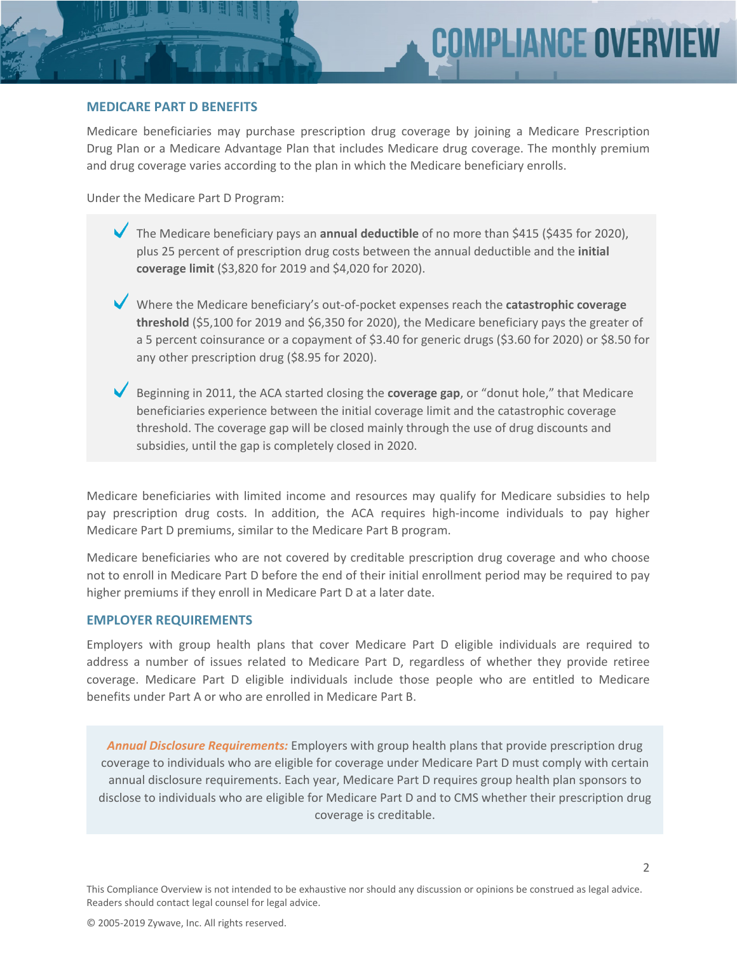#### **MEDICARE PART D BENEFITS**

Medicare beneficiaries may purchase prescription drug coverage by joining a Medicare Prescription Drug Plan or a Medicare Advantage Plan that includes Medicare drug coverage. The monthly premium and drug coverage varies according to the plan in which the Medicare beneficiary enrolls.

Under the Medicare Part D Program:

- The Medicare beneficiary pays an **annual deductible** of no more than \$415 (\$435 for 2020), plus 25 percent of prescription drug costs between the annual deductible and the **initial coverage limit** (\$3,820 for 2019 and \$4,020 for 2020).
- Where the Medicare beneficiary's out-of-pocket expenses reach the **catastrophic coverage threshold** (\$5,100 for 2019 and \$6,350 for 2020), the Medicare beneficiary pays the greater of a 5 percent coinsurance or a copayment of \$3.40 for generic drugs (\$3.60 for 2020) or \$8.50 for any other prescription drug (\$8.95 for 2020).
- Beginning in 2011, the ACA started closing the **coverage gap**, or "donut hole," that Medicare beneficiaries experience between the initial coverage limit and the catastrophic coverage threshold. The coverage gap will be closed mainly through the use of drug discounts and subsidies, until the gap is completely closed in 2020.

Medicare beneficiaries with limited income and resources may qualify for Medicare subsidies to help pay prescription drug costs. In addition, the ACA requires high-income individuals to pay higher Medicare Part D premiums, similar to the Medicare Part B program.

Medicare beneficiaries who are not covered by creditable prescription drug coverage and who choose not to enroll in Medicare Part D before the end of their initial enrollment period may be required to pay higher premiums if they enroll in Medicare Part D at a later date.

#### **EMPLOYER REQUIREMENTS**

Employers with group health plans that cover Medicare Part D eligible individuals are required to address a number of issues related to Medicare Part D, regardless of whether they provide retiree coverage. Medicare Part D eligible individuals include those people who are entitled to Medicare benefits under Part A or who are enrolled in Medicare Part B.

*Annual Disclosure Requirements:* Employers with group health plans that provide prescription drug coverage to individuals who are eligible for coverage under Medicare Part D must comply with certain annual disclosure requirements. Each year, Medicare Part D requires group health plan sponsors to disclose to individuals who are eligible for Medicare Part D and to CMS whether their prescription drug coverage is creditable.

This Compliance Overview is not intended to be exhaustive nor should any discussion or opinions be construed as legal advice. Readers should contact legal counsel for legal advice.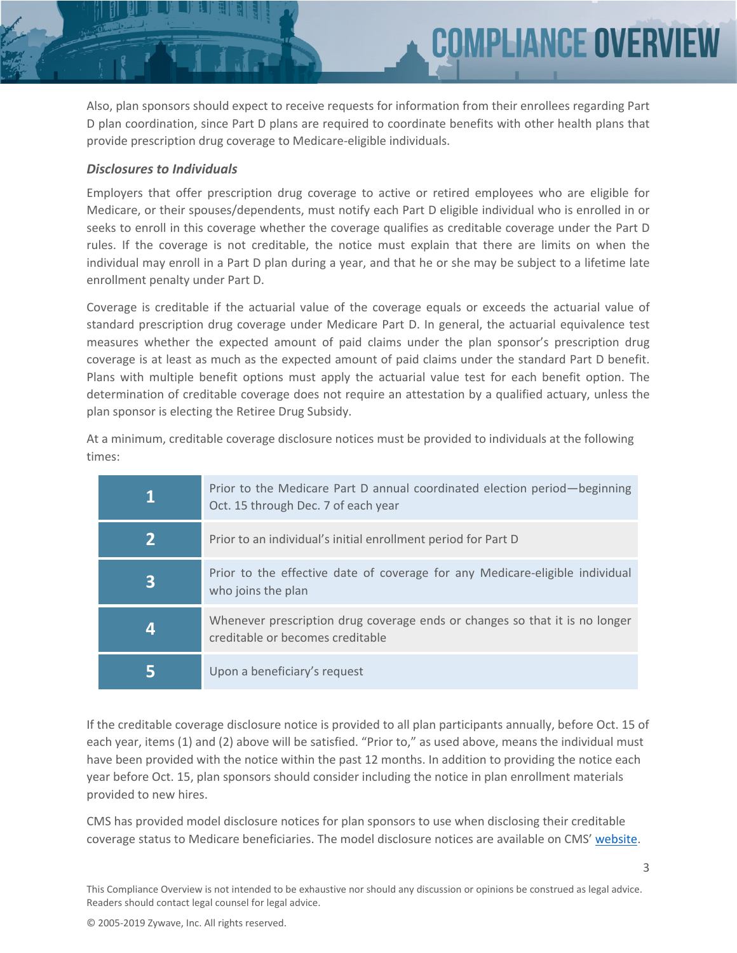Also, plan sponsors should expect to receive requests for information from their enrollees regarding Part D plan coordination, since Part D plans are required to coordinate benefits with other health plans that provide prescription drug coverage to Medicare-eligible individuals.

**MPLIANCE OVER** 

#### *Disclosures to Individuals*

Employers that offer prescription drug coverage to active or retired employees who are eligible for Medicare, or their spouses/dependents, must notify each Part D eligible individual who is enrolled in or seeks to enroll in this coverage whether the coverage qualifies as creditable coverage under the Part D rules. If the coverage is not creditable, the notice must explain that there are limits on when the individual may enroll in a Part D plan during a year, and that he or she may be subject to a lifetime late enrollment penalty under Part D.

Coverage is creditable if the actuarial value of the coverage equals or exceeds the actuarial value of standard prescription drug coverage under Medicare Part D. In general, the actuarial equivalence test measures whether the expected amount of paid claims under the plan sponsor's prescription drug coverage is at least as much as the expected amount of paid claims under the standard Part D benefit. Plans with multiple benefit options must apply the actuarial value test for each benefit option. The determination of creditable coverage does not require an attestation by a qualified actuary, unless the plan sponsor is electing the Retiree Drug Subsidy.

At a minimum, creditable coverage disclosure notices must be provided to individuals at the following times:

| Prior to the Medicare Part D annual coordinated election period—beginning<br>Oct. 15 through Dec. 7 of each year |
|------------------------------------------------------------------------------------------------------------------|
| Prior to an individual's initial enrollment period for Part D                                                    |
| Prior to the effective date of coverage for any Medicare-eligible individual<br>who joins the plan               |
| Whenever prescription drug coverage ends or changes so that it is no longer<br>creditable or becomes creditable  |
| Upon a beneficiary's request                                                                                     |

If the creditable coverage disclosure notice is provided to all plan participants annually, before Oct. 15 of each year, items (1) and (2) above will be satisfied. "Prior to," as used above, means the individual must have been provided with the notice within the past 12 months. In addition to providing the notice each year before Oct. 15, plan sponsors should consider including the notice in plan enrollment materials provided to new hires.

CMS has provided model disclosure notices for plan sponsors to use when disclosing their creditable coverage status to Medicare beneficiaries. The model disclosure notices are available on CMS' [website.](http://www.cms.gov/Medicare/Prescription-Drug-Coverage/CreditableCoverage/Model-Notice-Letters.html)

This Compliance Overview is not intended to be exhaustive nor should any discussion or opinions be construed as legal advice. Readers should contact legal counsel for legal advice.

© 2005-2019 Zywave, Inc. All rights reserved.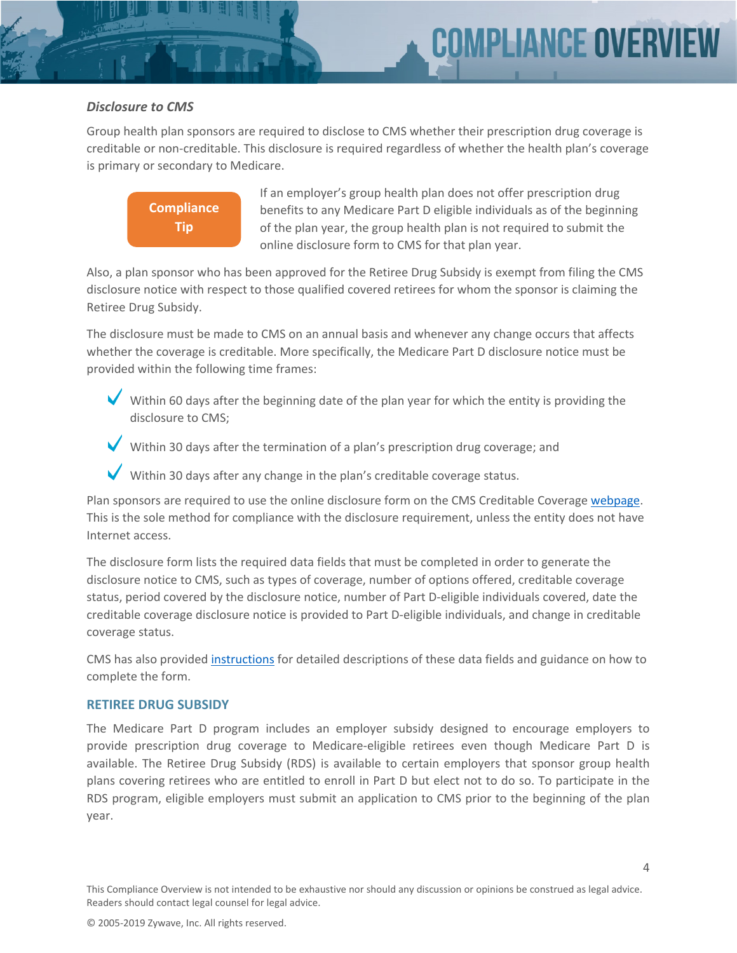#### *Disclosure to CMS*

Group health plan sponsors are required to disclose to CMS whether their prescription drug coverage is creditable or non-creditable. This disclosure is required regardless of whether the health plan's coverage is primary or secondary to Medicare.



If an employer's group health plan does not offer prescription drug benefits to any Medicare Part D eligible individuals as of the beginning of the plan year, the group health plan is not required to submit the online disclosure form to CMS for that plan year.

Also, a plan sponsor who has been approved for the Retiree Drug Subsidy is exempt from filing the CMS disclosure notice with respect to those qualified covered retirees for whom the sponsor is claiming the Retiree Drug Subsidy.

The disclosure must be made to CMS on an annual basis and whenever any change occurs that affects whether the coverage is creditable. More specifically, the Medicare Part D disclosure notice must be provided within the following time frames:

- Within 60 days after the beginning date of the plan year for which the entity is providing the disclosure to CMS;
- Within 30 days after the termination of a plan's prescription drug coverage; and
- Within 30 days after any change in the plan's creditable coverage status.

Plan sponsors are required to use the online disclosure form on the CMS Creditable Coverage [webpage.](http://www.cms.gov/Medicare/Prescription-Drug-Coverage/CreditableCoverage/index.html?redirect=/CreditableCoverage) This is the sole method for compliance with the disclosure requirement, unless the entity does not have Internet access.

The disclosure form lists the required data fields that must be completed in order to generate the disclosure notice to CMS, such as types of coverage, number of options offered, creditable coverage status, period covered by the disclosure notice, number of Part D-eligible individuals covered, date the creditable coverage disclosure notice is provided to Part D-eligible individuals, and change in creditable coverage status.

CMS has also provided [instructions](http://www.cms.gov/Medicare/Prescription-Drug-Coverage/CreditableCoverage/Downloads/CredCovDisclosureCMSInstructionsScreenShots110410.pdf) for detailed descriptions of these data fields and guidance on how to complete the form.

#### **RETIREE DRUG SUBSIDY**

The Medicare Part D program includes an employer subsidy designed to encourage employers to provide prescription drug coverage to Medicare-eligible retirees even though Medicare Part D is available. The Retiree Drug Subsidy (RDS) is available to certain employers that sponsor group health plans covering retirees who are entitled to enroll in Part D but elect not to do so. To participate in the RDS program, eligible employers must submit an application to CMS prior to the beginning of the plan year.